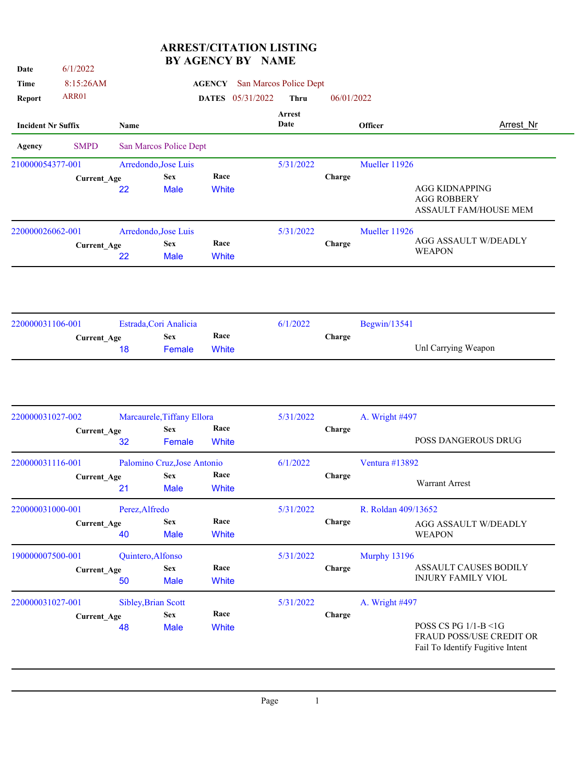## **ARREST/CITATION LISTING BY AGENCY BY NAME**

| Time                                                                                                                                                                                                                                                                                                              |                    |                   |                                          |               |                  |                        |            |                     |                                                                                                             |
|-------------------------------------------------------------------------------------------------------------------------------------------------------------------------------------------------------------------------------------------------------------------------------------------------------------------|--------------------|-------------------|------------------------------------------|---------------|------------------|------------------------|------------|---------------------|-------------------------------------------------------------------------------------------------------------|
|                                                                                                                                                                                                                                                                                                                   | 8:15:26AM          |                   |                                          | <b>AGENCY</b> |                  | San Marcos Police Dept |            |                     |                                                                                                             |
| <b>Report</b>                                                                                                                                                                                                                                                                                                     | ARR01              |                   |                                          |               | DATES 05/31/2022 | <b>Thru</b>            | 06/01/2022 |                     |                                                                                                             |
| <b>Incident Nr Suffix</b>                                                                                                                                                                                                                                                                                         |                    | Name              |                                          |               |                  | Arrest<br>Date         |            | Officer             | <b>Arrest Nr</b>                                                                                            |
| Agency                                                                                                                                                                                                                                                                                                            | <b>SMPD</b>        |                   | San Marcos Police Dept                   |               |                  |                        |            |                     |                                                                                                             |
| 210000054377-001                                                                                                                                                                                                                                                                                                  |                    |                   | Arredondo, Jose Luis                     |               |                  | 5/31/2022              |            | Mueller 11926       |                                                                                                             |
|                                                                                                                                                                                                                                                                                                                   | <b>Current_Age</b> |                   | <b>Sex</b>                               | Race          |                  |                        | Charge     |                     |                                                                                                             |
|                                                                                                                                                                                                                                                                                                                   |                    | 22                | <b>Male</b>                              | White         |                  |                        |            |                     |                                                                                                             |
|                                                                                                                                                                                                                                                                                                                   |                    |                   |                                          |               |                  | 5/31/2022              |            | Mueller 11926       |                                                                                                             |
|                                                                                                                                                                                                                                                                                                                   |                    |                   | <b>Sex</b>                               |               |                  |                        | Charge     |                     |                                                                                                             |
|                                                                                                                                                                                                                                                                                                                   |                    |                   |                                          |               |                  |                        |            |                     |                                                                                                             |
|                                                                                                                                                                                                                                                                                                                   |                    |                   |                                          |               |                  |                        |            | Begwin/13541        |                                                                                                             |
|                                                                                                                                                                                                                                                                                                                   |                    |                   | <b>Sex</b>                               |               |                  |                        | Charge     |                     | <b>AGG KIDNAPPING</b><br><b>AGG ROBBERY</b><br>AGG ASSAULT W/DEADLY<br><b>WEAPON</b><br>Unl Carrying Weapon |
| 220000026062-001<br>Arredondo, Jose Luis<br>Race<br><b>Current_Age</b><br>White<br>22<br><b>Male</b><br>Estrada, Cori Analicia<br>220000031106-001<br>6/1/2022<br>Race<br><b>Current_Age</b><br><b>White</b><br>18<br>Female<br>220000031027-002<br>Marcaurele, Tiffany Ellora<br>5/31/2022<br>Race<br><b>Sex</b> |                    |                   |                                          |               |                  |                        |            |                     |                                                                                                             |
|                                                                                                                                                                                                                                                                                                                   |                    |                   |                                          |               |                  |                        |            |                     |                                                                                                             |
|                                                                                                                                                                                                                                                                                                                   |                    |                   |                                          |               |                  |                        | Charge     | A. Wright #497      | POSS DANGEROUS DRUG                                                                                         |
|                                                                                                                                                                                                                                                                                                                   | Current_Age        | 32                | Female                                   | White         |                  |                        |            |                     |                                                                                                             |
| 220000031116-001                                                                                                                                                                                                                                                                                                  |                    |                   | Palomino Cruz, Jose Antonio              |               |                  | 6/1/2022               |            | Ventura #13892      | ASSAULT FAM/HOUSE MEM                                                                                       |
|                                                                                                                                                                                                                                                                                                                   | Current_Age        | 21                | <b>Sex</b><br>Male                       | Race<br>White |                  |                        | Charge     |                     | Warrant Arrest                                                                                              |
| 220000031000-001                                                                                                                                                                                                                                                                                                  |                    | Perez, Alfredo    |                                          |               |                  | 5/31/2022              |            | R. Roldan 409/13652 |                                                                                                             |
|                                                                                                                                                                                                                                                                                                                   | <b>Current_Age</b> | 40                | <b>Sex</b><br><b>Male</b>                | Race<br>White |                  |                        | Charge     |                     | <b>AGG ASSAULT W/DEADLY</b><br><b>WEAPON</b>                                                                |
| 190000007500-001                                                                                                                                                                                                                                                                                                  |                    | Quintero, Alfonso |                                          |               |                  | 5/31/2022              |            | Murphy 13196        |                                                                                                             |
|                                                                                                                                                                                                                                                                                                                   | Current_Age        |                   | <b>Sex</b>                               | Race          |                  |                        | Charge     |                     | ASSAULT CAUSES BODILY                                                                                       |
|                                                                                                                                                                                                                                                                                                                   |                    | 50                | <b>Male</b>                              | White         |                  |                        |            |                     | <b>INJURY FAMILY VIOL</b>                                                                                   |
| 220000031027-001                                                                                                                                                                                                                                                                                                  |                    |                   | <b>Sibley, Brian Scott</b><br><b>Sex</b> | Race          |                  | 5/31/2022              | Charge     | A. Wright #497      |                                                                                                             |